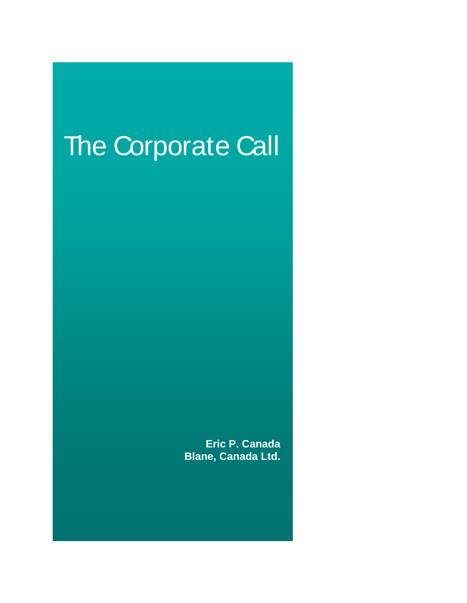# The Corporate Call

**Eric P. Canada Blane, Canada Ltd.**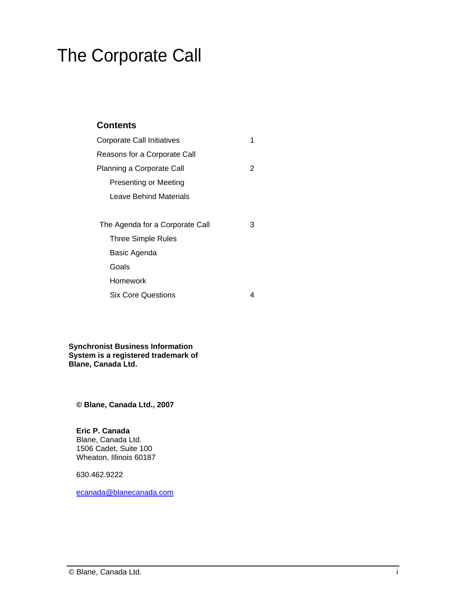## The Corporate Call

#### **Contents Contents**

| Corporate Call Initiatives      |              |
|---------------------------------|--------------|
| Reasons for a Corporate Call    |              |
| Planning a Corporate Call       | 2            |
| <b>Presenting or Meeting</b>    |              |
| <b>Leave Behind Materials</b>   |              |
|                                 |              |
| The Agenda for a Corporate Call | $\mathbf{3}$ |
| Three Simple Rules              |              |
| Basic Agenda                    |              |
| Goals                           |              |
| Homework                        |              |
|                                 |              |

Six Core Questions 4

**Synchronist Business Information System is a registered trademark of Blane, Canada Ltd.**

**© Blane, Canada Ltd., 2007**

**Eric P. Canada** Blane, Canada Ltd.<br>1506 Cadet, Suite 100 1506 Cadet, Suite 100 Wheaton, Illinois 60187

630.462.9222

ecanada@blanecanada.com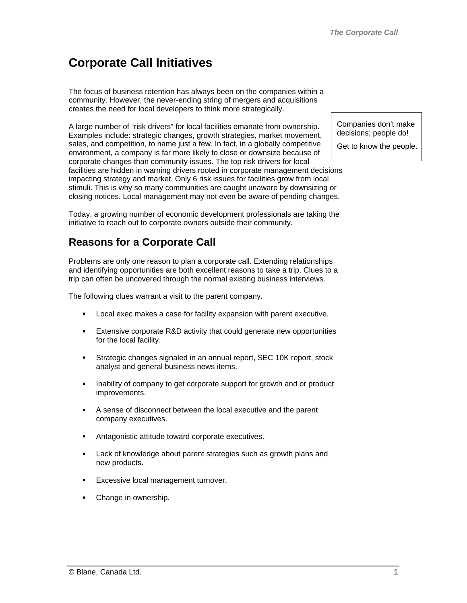### **Corporate Call Initiatives**

The focus of business retention has always been on the companies within a community. However, the never-ending string of mergers and acquisitions creates the need for local developers to think more strategically.

A large number of "risk drivers" for local facilities emanate from ownership. Examples include: strategic changes, growth strategies, market movement, sales, and competition, to name just a few. In fact, in a globally competitive environment, a company is far more likely to close or downsize because of corporate changes than community issues. The top risk drivers for local facilities are hidden in warning drivers rooted in corporate management decisions impacting strategy and market. Only 6 risk issues for facilities grow from local stimuli. This is why so many communities are caught unaware by downsizing or closing notices. Local management may not even be aware of pending changes.

Today, a growing number of economic development professionals are taking the initiative to reach out to corporate owners outside their community.

#### **Reasons for a Corporate Call**

Problems are only one reason to plan a corporate call. Extending relationships and identifying opportunities are both excellent reasons to take a trip. Clues to a trip can often be uncovered through the normal existing business interviews.

The following clues warrant a visit to the parent company.

- Local exec makes a case for facility expansion with parent executive.
- **Extensive corporate R&D activity that could generate new opportunities** for the local facility.
- Strategic changes signaled in an annual report, SEC 10K report, stock  $\blacksquare$ analyst and general business news items.
- $\blacksquare$ Inability of company to get corporate support for growth and or product improvements.
- A sense of disconnect between the local executive and the parent company executives.
- Antagonistic attitude toward corporate executives.
- Lack of knowledge about parent strategies such as growth plans and  $\blacksquare$ new products.
- Excessive local management turnover.
- Change in ownership.

Companies don't make decisions; people do! Get to know the people.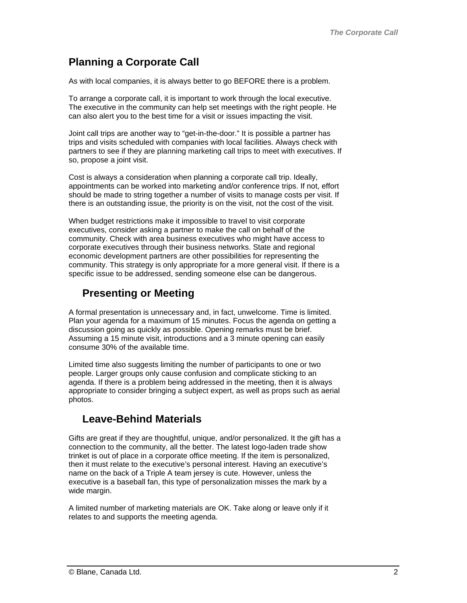#### **Planning a Corporate Call**

As with local companies, it is always better to go BEFORE there is a problem.

To arrange a corporate call, it is important to work through the local executive. The executive in the community can help set meetings with the right people. He can also alert you to the best time for a visit or issues impacting the visit.

Joint call trips are another way to "get-in-the-door." It is possible a partner has trips and visits scheduled with companies with local facilities. Always check with partners to see if they are planning marketing call trips to meet with executives. If so, propose a joint visit.

Cost is always a consideration when planning a corporate call trip. Ideally, appointments can be worked into marketing and/or conference trips. If not, effort should be made to string together a number of visits to manage costs per visit. If there is an outstanding issue, the priority is on the visit, not the cost of the visit.

When budget restrictions make it impossible to travel to visit corporate executives, consider asking a partner to make the call on behalf of the community. Check with area business executives who might have access to corporate executives through their business networks. State and regional economic development partners are other possibilities for representing the community. This strategy is only appropriate for a more general visit. If there is a specific issue to be addressed, sending someone else can be dangerous.

#### **Presenting or Meeting**

A formal presentation is unnecessary and, in fact, unwelcome. Time is limited. Plan your agenda for a maximum of 15 minutes. Focus the agenda on getting a discussion going as quickly as possible. Opening remarks must be brief. Assuming a 15 minute visit, introductions and a 3 minute opening can easily consume 30% of the available time.

Limited time also suggests limiting the number of participants to one or two people. Larger groups only cause confusion and complicate sticking to an agenda. If there is a problem being addressed in the meeting, then it is always appropriate to consider bringing a subject expert, as well as props such as aerial photos. The contract of the contract of the contract of the contract of the contract of the contract of the contract of the contract of the contract of the contract of the contract of the contract of the contract of the co

#### **Leave-Behind Materials**

Gifts are great if they are thoughtful, unique, and/or personalized. It the gift has a connection to the community, all the better. The latest logo-laden trade show trinket is out of place in a corporate office meeting. If the item is personalized, then it must relate to the executive's personal interest. Having an executive's name on the back of a Triple A team jersey is cute. However, unless the executive is a baseball fan, this type of personalization misses the mark by a wide margin. And the contract of the contract of the contract of the contract of the contract of the contract of the contract of the contract of the contract of the contract of the contract of the contract of the contract

A limited number of marketing materials are OK. Take along or leave only if it relates to and supports the meeting agenda.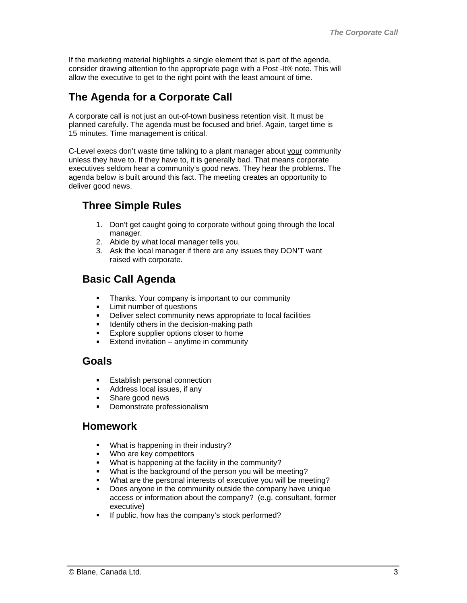If the marketing material highlights a single element that is part of the agenda, consider drawing attention to the appropriate page with a Post -It® note. This will allow the executive to get to the right point with the least amount of time.

#### **The Agenda for a Corporate Call**

A corporate call is not just an out-of-town business retention visit. It must be planned carefully. The agenda must be focused and brief. Again, target time is 15 minutes. Time management is critical.

C-Level execs don't waste time talking to a plant manager about your community unless they have to. If they have to, it is generally bad. That means corporate executives seldom hear a community's good news. They hear the problems. The agenda below is built around this fact. The meeting creates an opportunity to deliver good news.

#### **Three Simple Rules**

- 1. Don't get caught going to corporate without going through the local manager.
- 2. Abide by what local manager tells you.
- 3. Ask the local manager if there are any issues they DON'T want raised with corporate.

#### **Basic Call Agenda**

- $\blacksquare$ Thanks. Your company is important to our community
- $\blacksquare$ Limit number of questions
- $\blacksquare$ Deliver select community news appropriate to local facilities
- a li Identify others in the decision-making path
- Explore supplier options closer to home
- $\blacksquare$ Extend invitation – anytime in community

#### **Goals**

- Establish personal connection
- $\blacksquare$ Address local issues, if any
- Share good news
- Demonstrate professionalism

#### **Homework**

- What is happening in their industry?
- $\blacksquare$ Who are key competitors
- What is happening at the facility in the community?
- $\blacksquare$ What is the background of the person you will be meeting?
- $\blacksquare$ What are the personal interests of executive you will be meeting?
- Does anyone in the community outside the company have unique access or information about the company? (e.g. consultant, former executive)
- If public, how has the company's stock performed? $\blacksquare$